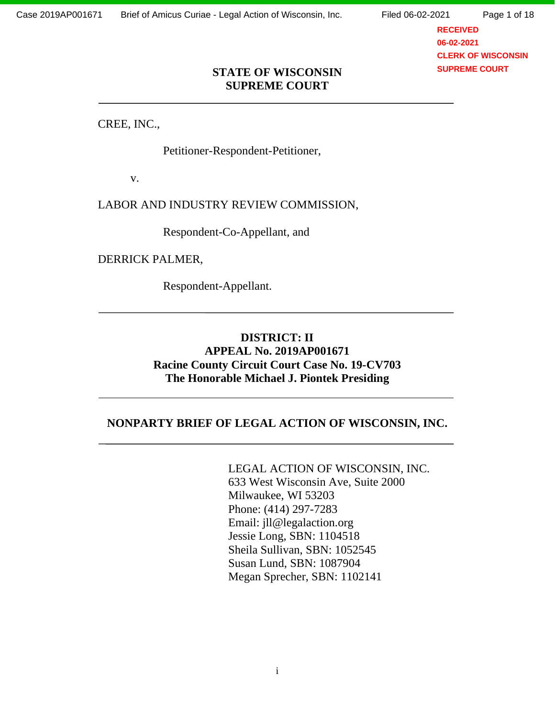**RECEIVED 06-02-2021 CLERK OF WISCONSIN SUPREME COURT**

#### **STATE OF WISCONSIN SUPREME COURT**

CREE, INC.,

Petitioner-Respondent-Petitioner,

v.

LABOR AND INDUSTRY REVIEW COMMISSION,

Respondent-Co-Appellant, and

DERRICK PALMER,

Respondent-Appellant.

### **DISTRICT: II APPEAL No. 2019AP001671 Racine County Circuit Court Case No. 19-CV703 The Honorable Michael J. Piontek Presiding**

### **NONPARTY BRIEF OF LEGAL ACTION OF WISCONSIN, INC.**

# LEGAL ACTION OF WISCONSIN, INC.

633 West Wisconsin Ave, Suite 2000 Milwaukee, WI 53203 Phone: (414) 297-7283 Email: jll@legalaction.org Jessie Long, SBN: 1104518 Sheila Sullivan, SBN: 1052545 Susan Lund, SBN: 1087904 Megan Sprecher, SBN: 1102141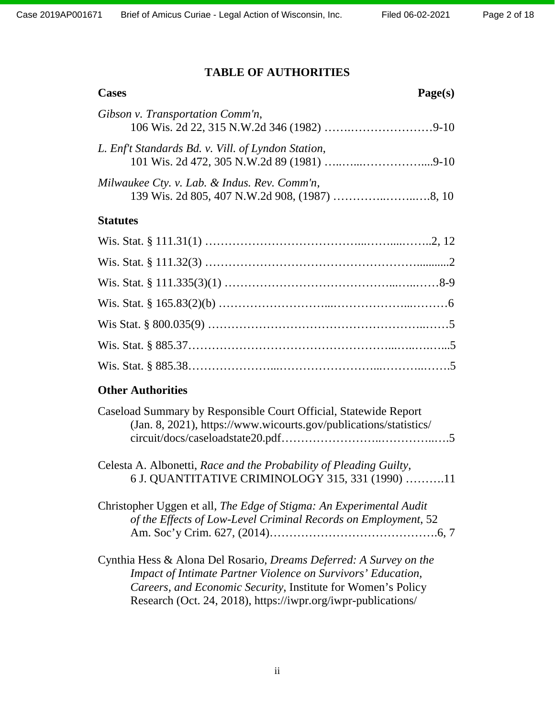# **TABLE OF AUTHORITIES**

| <b>Cases</b><br>Page(s)                                                                                                                                                                                                                                                           |
|-----------------------------------------------------------------------------------------------------------------------------------------------------------------------------------------------------------------------------------------------------------------------------------|
| Gibson v. Transportation Comm'n,                                                                                                                                                                                                                                                  |
| L. Enf't Standards Bd. v. Vill. of Lyndon Station,                                                                                                                                                                                                                                |
| Milwaukee Cty. v. Lab. & Indus. Rev. Comm'n,                                                                                                                                                                                                                                      |
| <b>Statutes</b>                                                                                                                                                                                                                                                                   |
|                                                                                                                                                                                                                                                                                   |
|                                                                                                                                                                                                                                                                                   |
|                                                                                                                                                                                                                                                                                   |
|                                                                                                                                                                                                                                                                                   |
|                                                                                                                                                                                                                                                                                   |
|                                                                                                                                                                                                                                                                                   |
|                                                                                                                                                                                                                                                                                   |
| <b>Other Authorities</b>                                                                                                                                                                                                                                                          |
| Caseload Summary by Responsible Court Official, Statewide Report<br>(Jan. 8, 2021), https://www.wicourts.gov/publications/statistics/                                                                                                                                             |
| Celesta A. Albonetti, Race and the Probability of Pleading Guilty,<br>6 J. QUANTITATIVE CRIMINOLOGY 315, 331 (1990) 11                                                                                                                                                            |
| Christopher Uggen et all, The Edge of Stigma: An Experimental Audit<br>of the Effects of Low-Level Criminal Records on Employment, 52                                                                                                                                             |
| Cynthia Hess & Alona Del Rosario, <i>Dreams Deferred: A Survey on the</i><br><b>Impact of Intimate Partner Violence on Survivors' Education,</b><br>Careers, and Economic Security, Institute for Women's Policy<br>Research (Oct. 24, 2018), https://iwpr.org/iwpr-publications/ |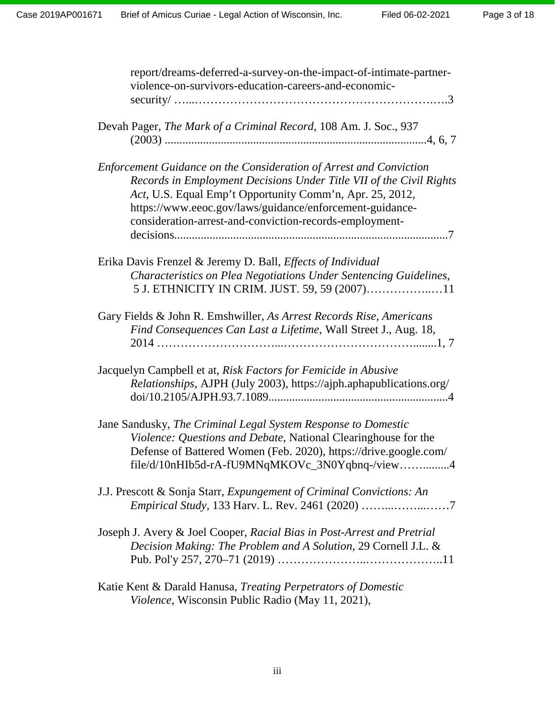| report/dreams-deferred-a-survey-on-the-impact-of-intimate-partner-<br>violence-on-survivors-education-careers-and-economic-                                                                                                                                                                                                  |
|------------------------------------------------------------------------------------------------------------------------------------------------------------------------------------------------------------------------------------------------------------------------------------------------------------------------------|
| Devah Pager, The Mark of a Criminal Record, 108 Am. J. Soc., 937                                                                                                                                                                                                                                                             |
| Enforcement Guidance on the Consideration of Arrest and Conviction<br>Records in Employment Decisions Under Title VII of the Civil Rights<br>Act, U.S. Equal Emp't Opportunity Comm'n, Apr. 25, 2012,<br>https://www.eeoc.gov/laws/guidance/enforcement-guidance-<br>consideration-arrest-and-conviction-records-employment- |
| Erika Davis Frenzel & Jeremy D. Ball, <i>Effects of Individual</i><br>Characteristics on Plea Negotiations Under Sentencing Guidelines,<br>5 J. ETHNICITY IN CRIM. JUST. 59, 59 (2007)11                                                                                                                                     |
| Gary Fields & John R. Emshwiller, As Arrest Records Rise, Americans<br>Find Consequences Can Last a Lifetime, Wall Street J., Aug. 18,                                                                                                                                                                                       |
| Jacquelyn Campbell et at, Risk Factors for Femicide in Abusive<br>Relationships, AJPH (July 2003), https://ajph.aphapublications.org/                                                                                                                                                                                        |
| Jane Sandusky, The Criminal Legal System Response to Domestic<br>Violence: Questions and Debate, National Clearinghouse for the<br>Defense of Battered Women (Feb. 2020), https://drive.google.com/<br>file/d/10nHIb5d-rA-fU9MNqMKOVc_3N0Yqbnq-/view4                                                                        |
| J.J. Prescott & Sonja Starr, Expungement of Criminal Convictions: An                                                                                                                                                                                                                                                         |
| Joseph J. Avery & Joel Cooper, Racial Bias in Post-Arrest and Pretrial<br>Decision Making: The Problem and A Solution, 29 Cornell J.L. &                                                                                                                                                                                     |
| Katie Kent & Darald Hanusa, Treating Perpetrators of Domestic<br>Violence, Wisconsin Public Radio (May 11, 2021),                                                                                                                                                                                                            |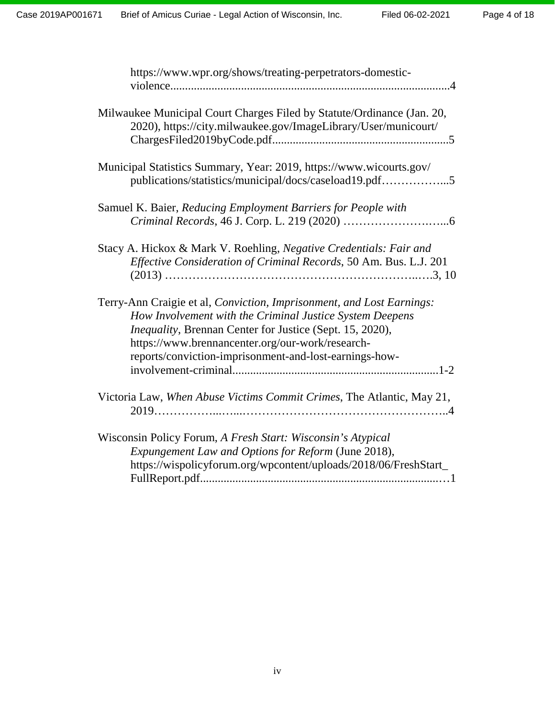| https://www.wpr.org/shows/treating-perpetrators-domestic-                                                                                                                                                                                                                                                           |
|---------------------------------------------------------------------------------------------------------------------------------------------------------------------------------------------------------------------------------------------------------------------------------------------------------------------|
| Milwaukee Municipal Court Charges Filed by Statute/Ordinance (Jan. 20,<br>2020), https://city.milwaukee.gov/ImageLibrary/User/municourt/                                                                                                                                                                            |
| Municipal Statistics Summary, Year: 2019, https://www.wicourts.gov/<br>publications/statistics/municipal/docs/caseload19.pdf5                                                                                                                                                                                       |
| Samuel K. Baier, Reducing Employment Barriers for People with                                                                                                                                                                                                                                                       |
| Stacy A. Hickox & Mark V. Roehling, Negative Credentials: Fair and<br>Effective Consideration of Criminal Records, 50 Am. Bus. L.J. 201                                                                                                                                                                             |
| Terry-Ann Craigie et al, Conviction, Imprisonment, and Lost Earnings:<br>How Involvement with the Criminal Justice System Deepens<br><i>Inequality</i> , Brennan Center for Justice (Sept. 15, 2020),<br>https://www.brennancenter.org/our-work/research-<br>reports/conviction-imprisonment-and-lost-earnings-how- |
| Victoria Law, When Abuse Victims Commit Crimes, The Atlantic, May 21,                                                                                                                                                                                                                                               |
| Wisconsin Policy Forum, A Fresh Start: Wisconsin's Atypical<br>Expungement Law and Options for Reform (June 2018),<br>https://wispolicyforum.org/wpcontent/uploads/2018/06/FreshStart_                                                                                                                              |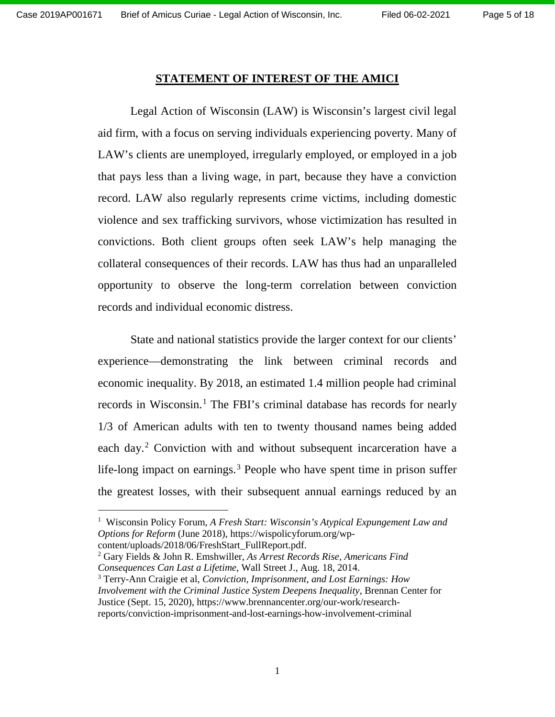$\overline{a}$ 

#### **STATEMENT OF INTEREST OF THE AMICI**

Legal Action of Wisconsin (LAW) is Wisconsin's largest civil legal aid firm, with a focus on serving individuals experiencing poverty. Many of LAW's clients are unemployed, irregularly employed, or employed in a job that pays less than a living wage, in part, because they have a conviction record. LAW also regularly represents crime victims, including domestic violence and sex trafficking survivors, whose victimization has resulted in convictions. Both client groups often seek LAW's help managing the collateral consequences of their records. LAW has thus had an unparalleled opportunity to observe the long-term correlation between conviction records and individual economic distress.

State and national statistics provide the larger context for our clients' experience—demonstrating the link between criminal records and economic inequality. By 2018, an estimated 1.4 million people had criminal records in Wisconsin. [1](#page-4-0) The FBI's criminal database has records for nearly 1/3 of American adults with ten to twenty thousand names being added each day.<sup>[2](#page-4-1)</sup> Conviction with and without subsequent incarceration have a life-long impact on earnings. [3](#page-4-2) People who have spent time in prison suffer the greatest losses, with their subsequent annual earnings reduced by an

<span id="page-4-2"></span><span id="page-4-1"></span><sup>2</sup> Gary Fields & John R. Emshwiller, *As Arrest Records Rise, Americans Find Consequences Can Last a Lifetime*, Wall Street J., Aug. 18, 2014. <sup>3</sup> Terry-Ann Craigie et al, *Conviction, Imprisonment, and Lost Earnings: How Involvement with the Criminal Justice System Deepens Inequality*, Brennan Center for Justice (Sept. 15, 2020), https://www.brennancenter.org/our-work/researchreports/conviction-imprisonment-and-lost-earnings-how-involvement-criminal

<span id="page-4-0"></span><sup>&</sup>lt;sup>1</sup> Wisconsin Policy Forum, *A Fresh Start: Wisconsin's Atypical Expungement Law and Options for Reform* (June 2018), [https://wispolicyforum.org/wp](https://wispolicyforum.org/wp-content/uploads/2018/06/FreshStart_FullReport.pdf)[content/uploads/2018/06/FreshStart\\_FullReport.pdf.](https://wispolicyforum.org/wp-content/uploads/2018/06/FreshStart_FullReport.pdf)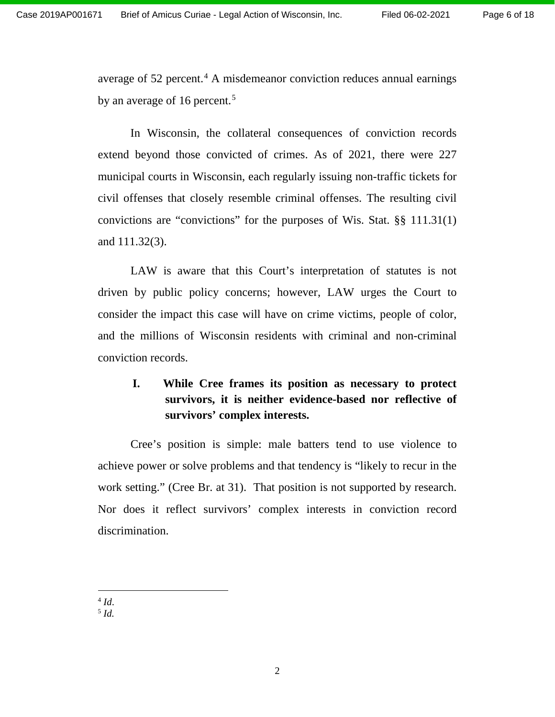average of 52 percent. [4](#page-5-0) A misdemeanor conviction reduces annual earnings by an average of 16 percent.<sup>[5](#page-5-1)</sup>

In Wisconsin, the collateral consequences of conviction records extend beyond those convicted of crimes. As of 2021, there were 227 municipal courts in Wisconsin, each regularly issuing non-traffic tickets for civil offenses that closely resemble criminal offenses. The resulting civil convictions are "convictions" for the purposes of Wis. Stat. §§ 111.31(1) and 111.32(3).

LAW is aware that this Court's interpretation of statutes is not driven by public policy concerns; however, LAW urges the Court to consider the impact this case will have on crime victims, people of color, and the millions of Wisconsin residents with criminal and non-criminal conviction records.

## **I. While Cree frames its position as necessary to protect survivors, it is neither evidence-based nor reflective of survivors' complex interests.**

Cree's position is simple: male batters tend to use violence to achieve power or solve problems and that tendency is "likely to recur in the work setting." (Cree Br. at 31). That position is not supported by research. Nor does it reflect survivors' complex interests in conviction record discrimination.

<span id="page-5-0"></span> $^{4}$  *Id.* 

 $\overline{\phantom{a}}$ 

<span id="page-5-1"></span><sup>5</sup> *Id.*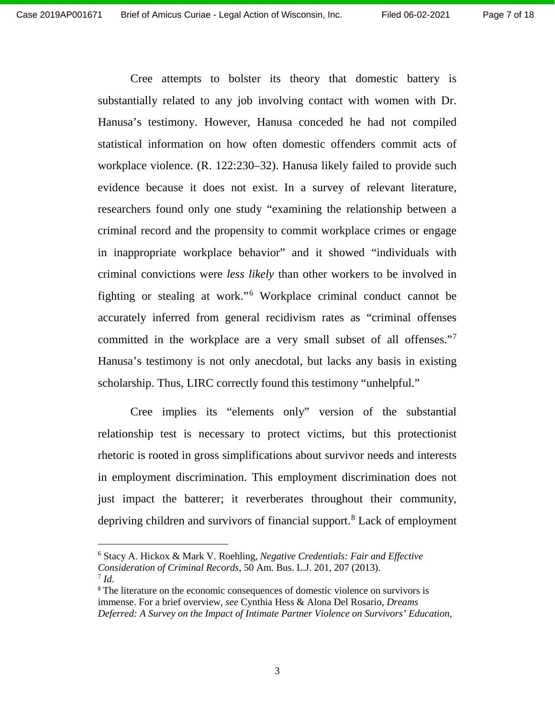Cree attempts to bolster its theory that domestic battery is substantially related to any job involving contact with women with Dr. Hanusa's testimony. However, Hanusa conceded he had not compiled statistical information on how often domestic offenders commit acts of workplace violence. (R. 122:230–32). Hanusa likely failed to provide such evidence because it does not exist. In a survey of relevant literature, researchers found only one study "examining the relationship between a criminal record and the propensity to commit workplace crimes or engage in inappropriate workplace behavior" and it showed "individuals with criminal convictions were *less likely* than other workers to be involved in fighting or stealing at work."[6](#page-6-0) Workplace criminal conduct cannot be accurately inferred from general recidivism rates as "criminal offenses committed in the workplace are a very small subset of all offenses."[7](#page-6-1) Hanusa's testimony is not only anecdotal, but lacks any basis in existing scholarship. Thus, LIRC correctly found this testimony "unhelpful."

Cree implies its "elements only" version of the substantial relationship test is necessary to protect victims, but this protectionist rhetoric is rooted in gross simplifications about survivor needs and interests in employment discrimination. This employment discrimination does not just impact the batterer; it reverberates throughout their community, depriving children and survivors of financial support. [8](#page-6-2) Lack of employment

 $\overline{\phantom{a}}$ 

<span id="page-6-0"></span><sup>6</sup> Stacy A. Hickox & Mark V. Roehling, *Negative Credentials: Fair and Effective Consideration of Criminal Records*, 50 Am. Bus. L.J. 201, 207 (2013).  $^7$  *Id.* 

<span id="page-6-2"></span><span id="page-6-1"></span><sup>&</sup>lt;sup>8</sup> The literature on the economic consequences of domestic violence on survivors is immense. For a brief overview, *see* Cynthia Hess & Alona Del Rosario, *Dreams Deferred: A Survey on the Impact of Intimate Partner Violence on Survivors' Education,*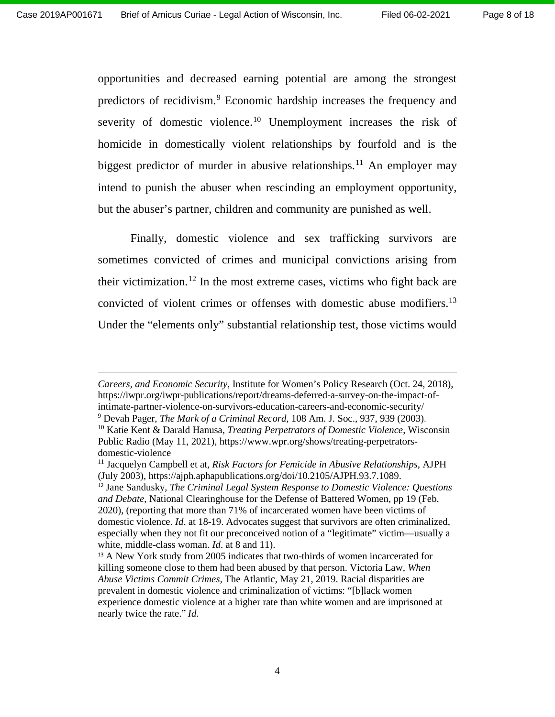$\overline{a}$ 

opportunities and decreased earning potential are among the strongest predictors of recidivism.[9](#page-7-0) Economic hardship increases the frequency and severity of domestic violence.<sup>[10](#page-7-1)</sup> Unemployment increases the risk of homicide in domestically violent relationships by fourfold and is the biggest predictor of murder in abusive relationships.<sup>[11](#page-7-2)</sup> An employer may intend to punish the abuser when rescinding an employment opportunity, but the abuser's partner, children and community are punished as well.

Finally, domestic violence and sex trafficking survivors are sometimes convicted of crimes and municipal convictions arising from their victimization.<sup>[12](#page-7-3)</sup> In the most extreme cases, victims who fight back are convicted of violent crimes or offenses with domestic abuse modifiers.<sup>13</sup> Under the "elements only" substantial relationship test, those victims would

*Careers, and Economic Security*, Institute for Women's Policy Research (Oct. 24, 2018), https://iwpr.org/iwpr-publications/report/dreams-deferred-a-survey-on-the-impact-ofintimate-partner-violence-on-survivors-education-careers-and-economic-security/

<span id="page-7-1"></span><span id="page-7-0"></span><sup>9</sup> Devah Pager, *The Mark of a Criminal Record*, 108 Am. J. Soc., 937, 939 (2003).

<sup>10</sup> Katie Kent & Darald Hanusa, *Treating Perpetrators of Domestic Violence*, Wisconsin Public Radio (May 11, 2021), https://www.wpr.org/shows/treating-perpetratorsdomestic-violence

<span id="page-7-2"></span><sup>11</sup> Jacquelyn Campbell et at, *Risk Factors for Femicide in Abusive Relationships*, AJPH (July 2003), https://ajph.aphapublications.org/doi/10.2105/AJPH.93.7.1089.

<span id="page-7-3"></span><sup>12</sup> Jane Sandusky, *The Criminal Legal System Response to Domestic Violence: Questions and Debate*, National Clearinghouse for the Defense of Battered Women, pp 19 (Feb. 2020), (reporting that more than 71% of incarcerated women have been victims of domestic violence. *Id*. at 18-19. Advocates suggest that survivors are often criminalized, especially when they not fit our preconceived notion of a "legitimate" victim—usually a white, middle-class woman. *Id*. at 8 and 11).

<span id="page-7-4"></span><sup>13</sup> A New York study from 2005 indicates that two-thirds of women incarcerated for killing someone close to them had been abused by that person. Victoria Law, *When Abuse Victims Commit Crimes*, The Atlantic, May 21, 2019. Racial disparities are prevalent in domestic violence and criminalization of victims: "[b]lack women experience domestic violence at a higher rate than white women and are imprisoned at nearly twice the rate." *Id*.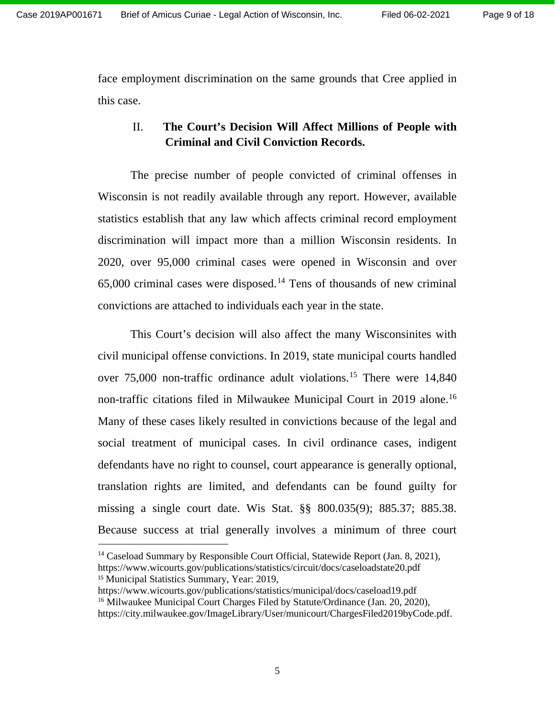face employment discrimination on the same grounds that Cree applied in this case.

### II. **The Court's Decision Will Affect Millions of People with Criminal and Civil Conviction Records.**

The precise number of people convicted of criminal offenses in Wisconsin is not readily available through any report. However, available statistics establish that any law which affects criminal record employment discrimination will impact more than a million Wisconsin residents. In 2020, over 95,000 criminal cases were opened in Wisconsin and over 65,000 criminal cases were disposed. [14](#page-8-0) Tens of thousands of new criminal convictions are attached to individuals each year in the state.

This Court's decision will also affect the many Wisconsinites with civil municipal offense convictions. In 2019, state municipal courts handled over 75,000 non-traffic ordinance adult violations. [15](#page-8-1) There were 14,840 non-traffic citations filed in Milwaukee Municipal Court in 2019 alone.<sup>16</sup> Many of these cases likely resulted in convictions because of the legal and social treatment of municipal cases. In civil ordinance cases, indigent defendants have no right to counsel, court appearance is generally optional, translation rights are limited, and defendants can be found guilty for missing a single court date. Wis Stat. §§ 800.035(9); 885.37; 885.38. Because success at trial generally involves a minimum of three court

<span id="page-8-0"></span><sup>14</sup> Caseload Summary by Responsible Court Official, Statewide Report (Jan. 8, 2021), https://www.wicourts.gov/publications/statistics/circuit/docs/caseloadstate20.pdf <sup>15</sup> Municipal Statistics Summary, Year: 2019,

 $\overline{\phantom{a}}$ 

<span id="page-8-2"></span><span id="page-8-1"></span>https://www.wicourts.gov/publications/statistics/municipal/docs/caseload19.pdf <sup>16</sup> Milwaukee Municipal Court Charges Filed by Statute/Ordinance (Jan. 20, 2020), https://city.milwaukee.gov/ImageLibrary/User/municourt/ChargesFiled2019byCode.pdf.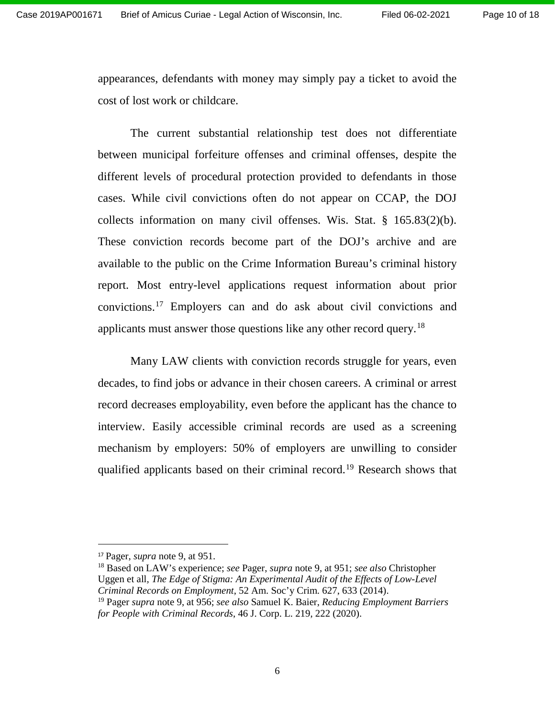appearances, defendants with money may simply pay a ticket to avoid the cost of lost work or childcare.

The current substantial relationship test does not differentiate between municipal forfeiture offenses and criminal offenses, despite the different levels of procedural protection provided to defendants in those cases. While civil convictions often do not appear on CCAP, the DOJ collects information on many civil offenses. Wis. Stat. § 165.83(2)(b). These conviction records become part of the DOJ's archive and are available to the public on the Crime Information Bureau's criminal history report. Most entry-level applications request information about prior convictions. [17](#page-9-0) Employers can and do ask about civil convictions and applicants must answer those questions like any other record query.<sup>[18](#page-9-1)</sup>

Many LAW clients with conviction records struggle for years, even decades, to find jobs or advance in their chosen careers. A criminal or arrest record decreases employability, even before the applicant has the chance to interview. Easily accessible criminal records are used as a screening mechanism by employers: 50% of employers are unwilling to consider qualified applicants based on their criminal record.<sup>[19](#page-9-2)</sup> Research shows that

 $\overline{\phantom{a}}$ 

<span id="page-9-0"></span><sup>17</sup> Pager, *supra* note 9, at 951.

<span id="page-9-1"></span><sup>18</sup> Based on LAW's experience; *see* Pager, *supra* note 9, at 951; *see also* Christopher Uggen et all*, The Edge of Stigma: An Experimental Audit of the Effects of Low-Level Criminal Records on Employment*, 52 Am. Soc'y Crim. 627, 633 (2014).

<span id="page-9-2"></span><sup>19</sup> Pager *supra* note 9, at 956; *see also* Samuel K. Baier, *Reducing Employment Barriers for People with Criminal Records*, 46 J. Corp. L. 219, 222 (2020).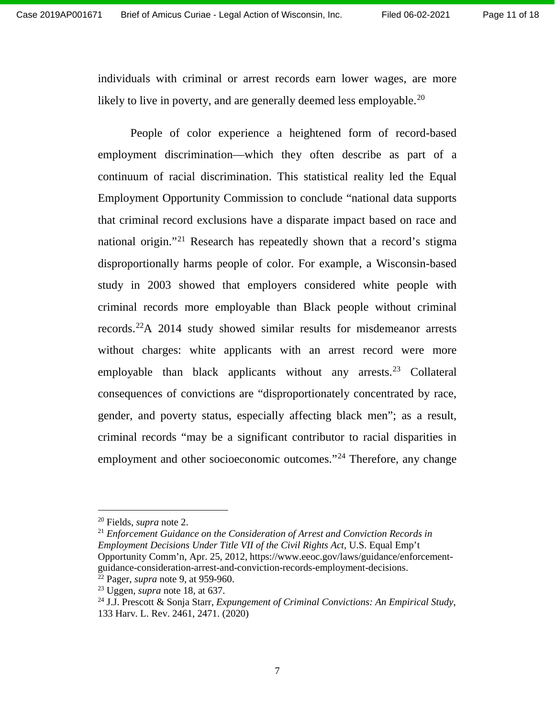individuals with criminal or arrest records earn lower wages, are more likely to live in poverty, and are generally deemed less employable. $^{20}$  $^{20}$  $^{20}$ 

People of color experience a heightened form of record-based employment discrimination—which they often describe as part of a continuum of racial discrimination. This statistical reality led the Equal Employment Opportunity Commission to conclude "national data supports that criminal record exclusions have a disparate impact based on race and national origin."[21](#page-10-1) Research has repeatedly shown that a record's stigma disproportionally harms people of color. For example, a Wisconsin-based study in 2003 showed that employers considered white people with criminal records more employable than Black people without criminal records. [22A](#page-10-2) 2014 study showed similar results for misdemeanor arrests without charges: white applicants with an arrest record were more employable than black applicants without any arrests.<sup>[23](#page-10-3)</sup> Collateral consequences of convictions are "disproportionately concentrated by race, gender, and poverty status, especially affecting black men"; as a result, criminal records "may be a significant contributor to racial disparities in employment and other socioeconomic outcomes."<sup>[24](#page-10-4)</sup> Therefore, any change

 $\overline{a}$ 

<span id="page-10-1"></span><sup>21</sup> *Enforcement Guidance on the Consideration of Arrest and Conviction Records in Employment Decisions Under Title VII of the Civil Rights Act*, U.S. Equal Emp't Opportunity Comm'n, Apr. 25, 2012, https://www.eeoc.gov/laws/guidance/enforcementguidance-consideration-arrest-and-conviction-records-employment-decisions. <sup>22</sup> Pager, *supra* note 9, at 959-960.

<span id="page-10-0"></span><sup>20</sup> Fields, *supra* note 2.

<span id="page-10-3"></span><span id="page-10-2"></span><sup>23</sup> Uggen, *supra* note 18, at 637.

<span id="page-10-4"></span><sup>24</sup> J.J. Prescott & Sonja Starr, *Expungement of Criminal Convictions: An Empirical Study*, 133 Harv. L. Rev. 2461, 2471. (2020)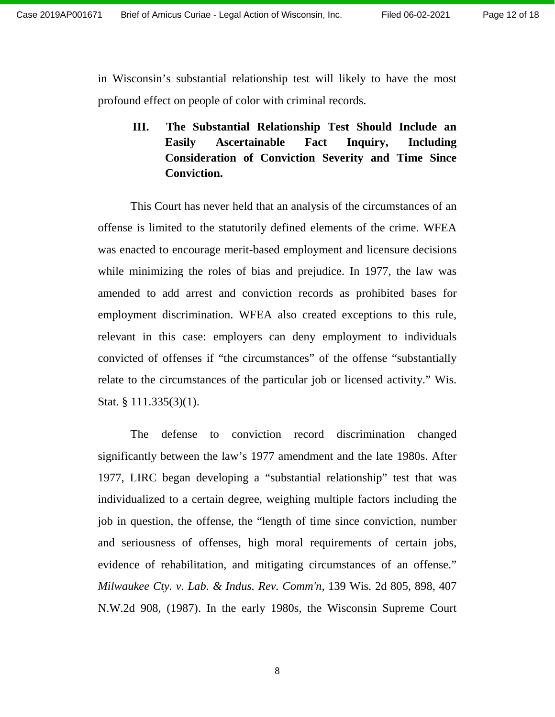in Wisconsin's substantial relationship test will likely to have the most profound effect on people of color with criminal records.

**III. The Substantial Relationship Test Should Include an Easily Ascertainable Fact Inquiry, Including Consideration of Conviction Severity and Time Since Conviction.**

This Court has never held that an analysis of the circumstances of an offense is limited to the statutorily defined elements of the crime. WFEA was enacted to encourage merit-based employment and licensure decisions while minimizing the roles of bias and prejudice. In 1977, the law was amended to add arrest and conviction records as prohibited bases for employment discrimination. WFEA also created exceptions to this rule, relevant in this case: employers can deny employment to individuals convicted of offenses if "the circumstances" of the offense "substantially relate to the circumstances of the particular job or licensed activity." Wis. Stat. § 111.335(3)(1).

The defense to conviction record discrimination changed significantly between the law's 1977 amendment and the late 1980s. After 1977, LIRC began developing a "substantial relationship" test that was individualized to a certain degree, weighing multiple factors including the job in question, the offense, the "length of time since conviction, number and seriousness of offenses, high moral requirements of certain jobs, evidence of rehabilitation, and mitigating circumstances of an offense." *Milwaukee Cty. v. Lab. & Indus. Rev. Comm'n*, 139 Wis. 2d 805, 898, 407 N.W.2d 908, (1987). In the early 1980s, the Wisconsin Supreme Court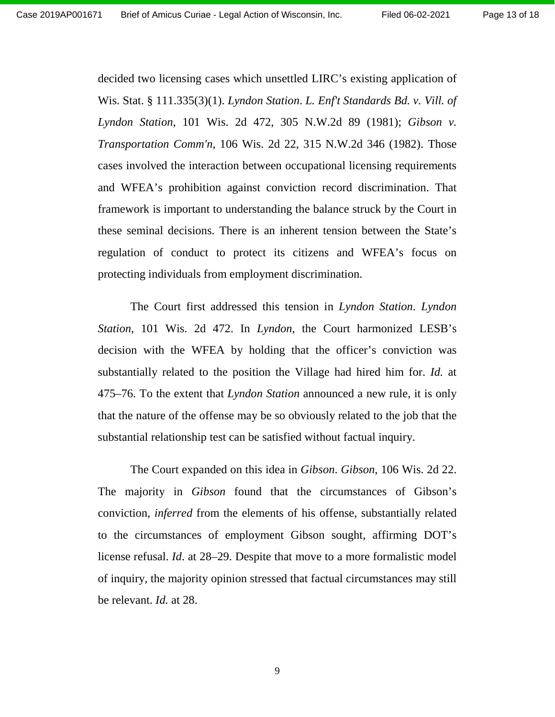Page 13 of 18

decided two licensing cases which unsettled LIRC's existing application of Wis. Stat. § 111.335(3)(1). *Lyndon Station*. *L. Enf't Standards Bd. v. Vill. of Lyndon Station*, 101 Wis. 2d 472, 305 N.W.2d 89 (1981); *Gibson v. Transportation Comm'n*, 106 Wis. 2d 22, 315 N.W.2d 346 (1982). Those cases involved the interaction between occupational licensing requirements and WFEA's prohibition against conviction record discrimination. That framework is important to understanding the balance struck by the Court in these seminal decisions. There is an inherent tension between the State's regulation of conduct to protect its citizens and WFEA's focus on protecting individuals from employment discrimination.

The Court first addressed this tension in *Lyndon Station*. *Lyndon Station*, 101 Wis. 2d 472. In *Lyndon*, the Court harmonized LESB's decision with the WFEA by holding that the officer's conviction was substantially related to the position the Village had hired him for. *Id.* at 475–76. To the extent that *Lyndon Station* announced a new rule, it is only that the nature of the offense may be so obviously related to the job that the substantial relationship test can be satisfied without factual inquiry.

The Court expanded on this idea in *Gibson*. *Gibson*, 106 Wis. 2d 22. The majority in *Gibson* found that the circumstances of Gibson's conviction, *inferred* from the elements of his offense, substantially related to the circumstances of employment Gibson sought, affirming DOT's license refusal. *Id*. at 28–29. Despite that move to a more formalistic model of inquiry, the majority opinion stressed that factual circumstances may still be relevant. *Id.* at 28.

9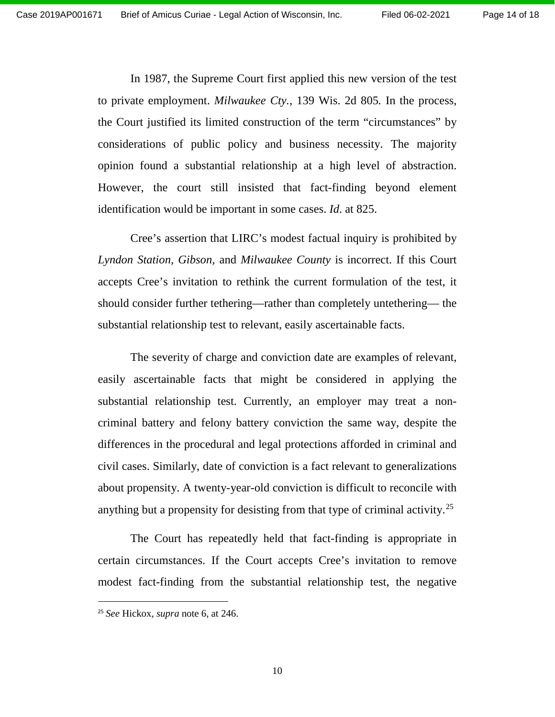In 1987, the Supreme Court first applied this new version of the test to private employment. *Milwaukee Cty.*, 139 Wis. 2d 805*.* In the process, the Court justified its limited construction of the term "circumstances" by considerations of public policy and business necessity. The majority opinion found a substantial relationship at a high level of abstraction. However, the court still insisted that fact-finding beyond element identification would be important in some cases. *Id*. at 825.

Cree's assertion that LIRC's modest factual inquiry is prohibited by *Lyndon Station, Gibson,* and *Milwaukee County* is incorrect. If this Court accepts Cree's invitation to rethink the current formulation of the test, it should consider further tethering—rather than completely untethering— the substantial relationship test to relevant, easily ascertainable facts.

The severity of charge and conviction date are examples of relevant, easily ascertainable facts that might be considered in applying the substantial relationship test. Currently, an employer may treat a noncriminal battery and felony battery conviction the same way, despite the differences in the procedural and legal protections afforded in criminal and civil cases. Similarly, date of conviction is a fact relevant to generalizations about propensity. A twenty-year-old conviction is difficult to reconcile with anything but a propensity for desisting from that type of criminal activity.<sup>[25](#page-13-0)</sup>

The Court has repeatedly held that fact-finding is appropriate in certain circumstances. If the Court accepts Cree's invitation to remove modest fact-finding from the substantial relationship test, the negative

 $\overline{a}$ 

<span id="page-13-0"></span><sup>25</sup> *See* Hickox, *supra* note 6, at 246.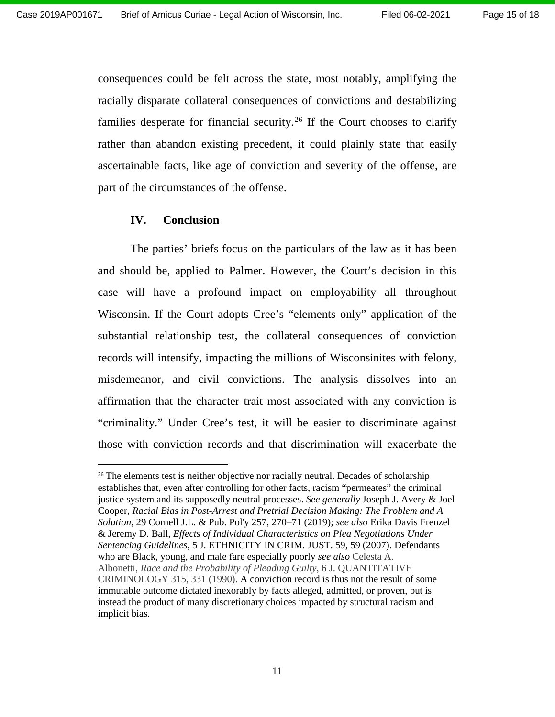consequences could be felt across the state, most notably, amplifying the racially disparate collateral consequences of convictions and destabilizing families desperate for financial security.<sup>[26](#page-14-0)</sup> If the Court chooses to clarify rather than abandon existing precedent, it could plainly state that easily ascertainable facts, like age of conviction and severity of the offense, are part of the circumstances of the offense.

### **IV. Conclusion**

 $\overline{\phantom{a}}$ 

The parties' briefs focus on the particulars of the law as it has been and should be, applied to Palmer. However, the Court's decision in this case will have a profound impact on employability all throughout Wisconsin. If the Court adopts Cree's "elements only" application of the substantial relationship test, the collateral consequences of conviction records will intensify, impacting the millions of Wisconsinites with felony, misdemeanor, and civil convictions. The analysis dissolves into an affirmation that the character trait most associated with any conviction is "criminality." Under Cree's test, it will be easier to discriminate against those with conviction records and that discrimination will exacerbate the

<span id="page-14-0"></span><sup>&</sup>lt;sup>26</sup> The elements test is neither objective nor racially neutral. Decades of scholarship establishes that, even after controlling for other facts, racism "permeates" the criminal justice system and its supposedly neutral processes. *See generally* Joseph J. Avery & Joel Cooper, *Racial Bias in Post-Arrest and Pretrial Decision Making: The Problem and A Solution*, 29 Cornell J.L. & Pub. Pol'y 257, 270–71 (2019); *see also* Erika Davis Frenzel & Jeremy D. Ball, *Effects of Individual Characteristics on Plea Negotiations Under Sentencing Guidelines*, 5 J. ETHNICITY IN CRIM. JUST. 59, 59 (2007). Defendants who are Black, young, and male fare especially poorly *see also* Celesta A. Albonetti, *Race and the Probability of Pleading Guilty*, 6 J. QUANTITATIVE CRIMINOLOGY 315, 331 (1990). A conviction record is thus not the result of some immutable outcome dictated inexorably by facts alleged, admitted, or proven, but is instead the product of many discretionary choices impacted by structural racism and implicit bias.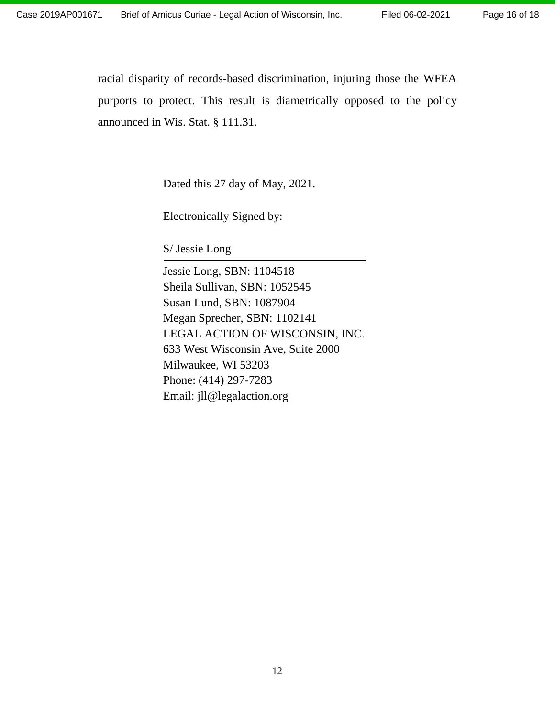racial disparity of records-based discrimination, injuring those the WFEA purports to protect. This result is diametrically opposed to the policy announced in Wis. Stat. § 111.31.

Dated this 27 day of May, 2021.

Electronically Signed by:

S/ Jessie Long

Jessie Long, SBN: 1104518 Sheila Sullivan, SBN: 1052545 Susan Lund, SBN: 1087904 Megan Sprecher, SBN: 1102141 LEGAL ACTION OF WISCONSIN, INC. 633 West Wisconsin Ave, Suite 2000 Milwaukee, WI 53203 Phone: (414) 297-7283 Email: jll@legalaction.org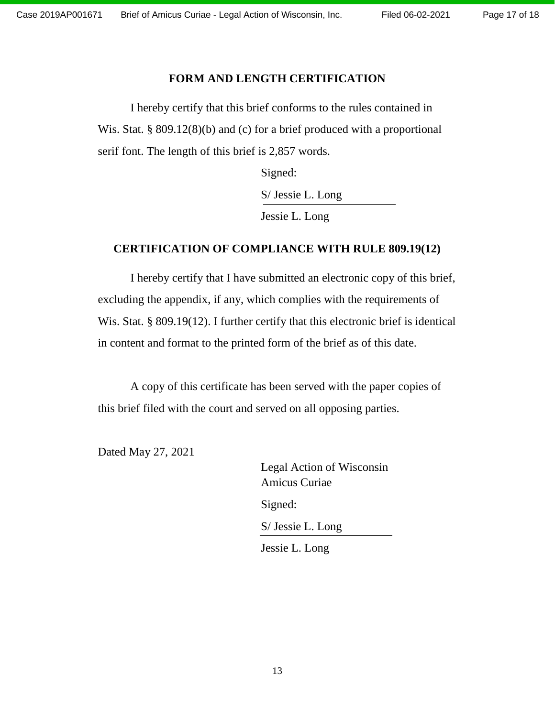### **FORM AND LENGTH CERTIFICATION**

I hereby certify that this brief conforms to the rules contained in Wis. Stat. § 809.12(8)(b) and (c) for a brief produced with a proportional serif font. The length of this brief is 2,857 words.

Signed:

S/ Jessie L. Long

Jessie L. Long

### **CERTIFICATION OF COMPLIANCE WITH RULE 809.19(12)**

I hereby certify that I have submitted an electronic copy of this brief, excluding the appendix, if any, which complies with the requirements of Wis. Stat. § 809.19(12). I further certify that this electronic brief is identical in content and format to the printed form of the brief as of this date.

A copy of this certificate has been served with the paper copies of this brief filed with the court and served on all opposing parties.

Dated May 27, 2021

Legal Action of Wisconsin Amicus Curiae Signed: S/ Jessie L. Long

Jessie L. Long